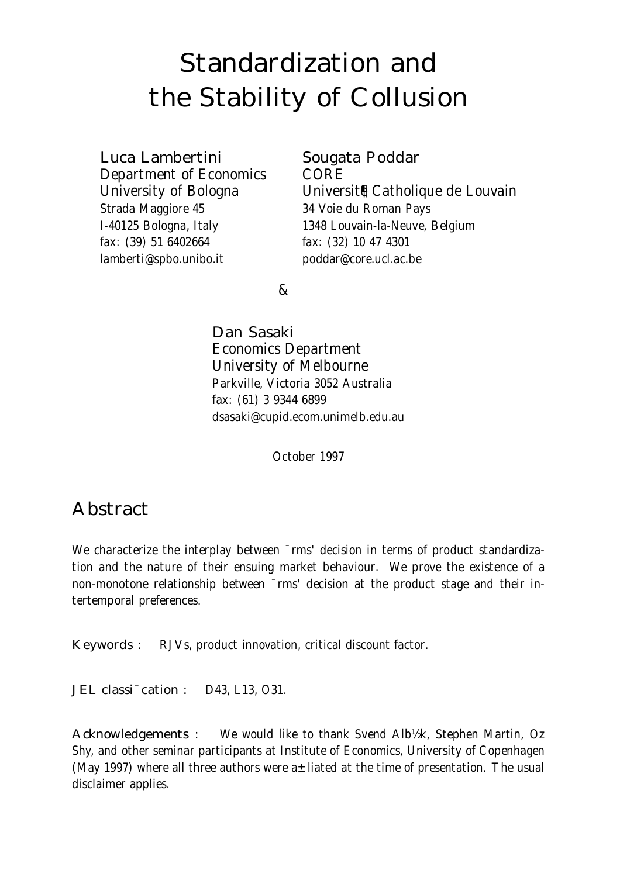# Standardization and the Stability of Collusion

Luca Lambertini Sougata Poddar

Department of Economics CORE Strada Maggiore 45 34 Voie du Roman Pays fax: (39) 51 6402664 fax: (32) 10 47 4301 lamberti@spbo.unibo.it poddar@core.ucl.ac.be

University of Bologna Universit<sup>®</sup> Catholique de Louvain I-40125 Bologna, Italy 1348 Louvain-la-Neuve, Belgium

 $\mathcal{R}$ 

Dan Sasaki Economics Department University of Melbourne Parkville, Victoria 3052 Australia fax: (61) 3 9344 6899 dsasaki@cupid.ecom.unimelb.edu.au

October 1997

# Abstract

We characterize the interplay between  $\overline{\ }$ rms' decision in terms of product standardization and the nature of their ensuing market behaviour. We prove the existence of a non-monotone relationship between ¯rms' decision at the product stage and their intertemporal preferences.

Keywords : RJVs, product innovation, critical discount factor.

JEL classi<sup>-</sup>cation : D43, L13, O31.

Acknowledgements : We would like to thank Svend Alb½k, Stephen Martin, Oz Shy, and other seminar participants at Institute of Economics, University of Copenhagen (May 1997) where all three authors were  $a \pm$ liated at the time of presentation. The usual disclaimer applies.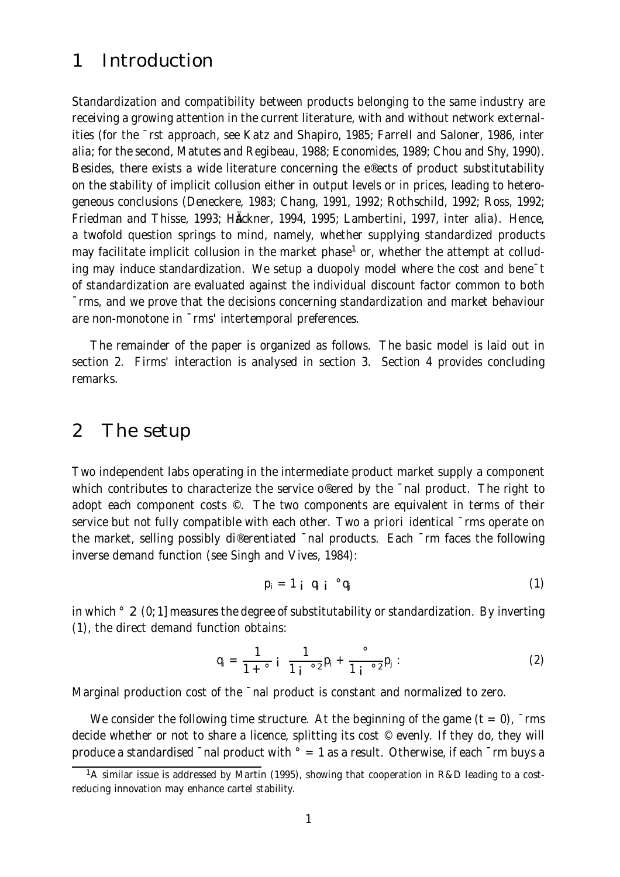## 1 Introduction

Standardization and compatibility between products belonging to the same industry are receiving a growing attention in the current literature, with and without network externalities (for the ¯rst approach, see Katz and Shapiro, 1985; Farrell and Saloner, 1986, inter alia; for the second, Matutes and Regibeau, 1988; Economides, 1989; Chou and Shy, 1990). Besides, there exists a wide literature concerning the e®ects of product substitutability on the stability of implicit collusion either in output levels or in prices, leading to heterogeneous conclusions (Deneckere, 1983; Chang, 1991, 1992; Rothschild, 1992; Ross, 1992; Friedman and Thisse, 1993; HÄckner, 1994, 1995; Lambertini, 1997, inter alia). Hence, a twofold question springs to mind, namely, whether supplying standardized products may facilitate implicit collusion in the market phase <sup>1</sup> or, whether the attempt at colluding may induce standardization. We setup a duopoly model where the cost and bene¯t of standardization are evaluated against the individual discount factor common to both ¯rms, and we prove that the decisions concerning standardization and market behaviour are non-monotone in ¯rms' intertemporal preferences.

The remainder of the paper is organized as follows. The basic model is laid out in section 2. Firms' interaction is analysed in section 3. Section 4 provides concluding remarks.

#### 2 The setup

Two independent labs operating in the intermediate product market supply a component which contributes to characterize the service o®ered by the and product. The right to adopt each component costs ©. The two components are equivalent in terms of their service but not fully compatible with each other. Two a priori identical  $\overline{\ }$ rms operate on the market, selling possibly di®erentiated ¯nal products. Each ¯rm faces the following inverse demand function (see Singh and Vives, 1984):

$$
p_i = 1 \t i \t q_i \t q_j \t (1)
$$

in which  $\degree$  2 (0; 1] measures the degree of substitutability or standardization. By inverting (1), the direct demand function obtains:

$$
q_{i} = \frac{1}{1 + \circ i} \frac{1}{1 + \circ i} p_{i} + \frac{\circ}{1 + \circ i} p_{j}.
$$
 (2)

Marginal production cost of the  $\bar{\ }$ nal product is constant and normalized to zero.

We consider the following time structure. At the beginning of the game  $(t = 0)$ ,  $\overline{\ }$ rms decide whether or not to share a licence, splitting its cost © evenly. If they do, they will produce a standardised  $\overline{\phantom{a}}$  nal product with  $\overline{\phantom{a}}$  = 1 as a result. Otherwise, if each  $\overline{\phantom{a}}$  rm buys a

<sup>&</sup>lt;sup>1</sup>A similar issue is addressed by Martin (1995), showing that cooperation in R&D leading to a costreducing innovation may enhance cartel stability.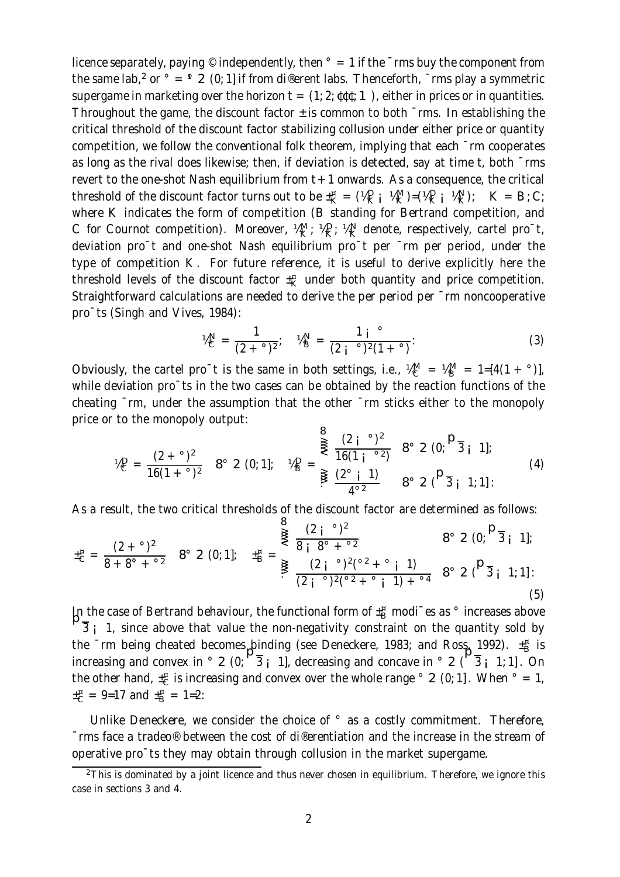licence separately, paying  $\circ$  independently, then  $\circ$  = 1 if the  $\circ$ rms buy the component from the same lab,<sup>2</sup> or  $\degree$  =  $\degree$  2 (0; 1] if from di®erent labs. Thenceforth,  $\degree$ rms play a symmetric supergame in marketing over the horizon  $t = (1, 2; \mathfrak{det} ; 1)$ , either in prices or in quantities. Throughout the game, the discount factor  $\pm$  is common to both  $\bar{\ }$ rms. In establishing the critical threshold of the discount factor stabilizing collusion under either price or quantity competition, we follow the conventional folk theorem, implying that each ¯rm cooperates as long as the rival does likewise; then, if deviation is detected, say at time t, both ¯rms revert to the one-shot Nash equilibrium from  $t + 1$  onwards. As a consequence, the critical threshold of the discount factor turns out to be  $\pm_K^{\pi} = (\frac{1}{2} \mathbb{Q}_K^D \mathbb{Q}_K^2) = (\frac{1}{2} \mathbb{Q}_K^D \mathbb{Q}_K^2) = (\frac{1}{2} \mathbb{Q}_K^2 \mathbb{Q}_K^2) = (\frac{1}{2} \mathbb{Q}_K^2 \mathbb{Q}_K^2) = (\frac{1}{2} \mathbb{Q}_K^2 \mathbb{Q}_K^2) = (\frac{1}{2} \mathbb{Q}_K^2 \mathbb{Q}_K^2) = (\$ where K indicates the form of competition (B standing for Bertrand competition, and C for Cournot competition). Moreover,  $\frac{M_{\rm K}}{K}$ ;  $\frac{M_{\rm C}}{K}$ ;  $\frac{M_{\rm N}}{K}$  denote, respectively, cartel pro<sup>-</sup>t, deviation pro¯t and one-shot Nash equilibrium pro¯t per ¯rm per period, under the type of competition K. For future reference, it is useful to derive explicitly here the threshold levels of the discount factor  $\pm \frac{\pi}{\mathsf{K}}$  under both quantity and price competition. Straightforward calculations are needed to derive the per period per ¯rm noncooperative pro¯ts (Singh and Vives, 1984):

$$
\mathcal{V}_{\mathsf{C}}^{\mathsf{N}} = \frac{1}{(2 \cdot \mathsf{I})^2}; \quad \mathcal{V}_{\mathsf{B}}^{\mathsf{N}} = \frac{1 \mathsf{I} \mathsf{I}^{\circ}}{(2 \mathsf{I} \mathsf{I}^{\circ})^2 (1 \mathsf{I} \mathsf{I}^{\circ})}. \tag{3}
$$

Obviously, the cartel pro<sup>-</sup>t is the same in both settings, i.e.,  $\frac{1}{4}M_{\rm B}^{\rm M} = 1 = [4(1 + \degree)]$ , while deviation pro<sup>-</sup>ts in the two cases can be obtained by the reaction functions of the cheating ¯rm, under the assumption that the other ¯rm sticks either to the monopoly price or to the monopoly output:  $\Omega$ 

$$
\mathcal{U}_{C}^{D} = \frac{(2 + \circ)^{2}}{16(1 + \circ)^{2}} \quad 8^{\circ} \quad 2 \quad (0; 1]; \quad \mathcal{U}_{B}^{D} = \sum_{\frac{3}{2}}^{\frac{3}{2}} \frac{(2 + \circ)^{2}}{16(1 + \circ^{2})} \quad 8^{\circ} \quad 2 \quad (0; \frac{D_{\frac{1}{3}}}{1}); \quad (4)
$$

As a result, the two critical thresholds of the discount factor are determined as follows:

$$
\pm_{C}^{\mathfrak{n}} = \frac{(2 + \circ)^{2}}{8 + 8^{\circ} + \circ^{2}} \quad 8^{\circ} \quad 2 \quad (0; 1]; \quad \pm_{B}^{\mathfrak{n}} = \underbrace{\frac{(2 + \circ)^{2}}{8 + 8^{\circ} + \circ^{2}}}_{\in (2 + \circ)^{2} \quad (2 + \circ)^{2} \quad (2 + \circ)^{2} \quad (3 + \circ)^{2} \quad (4 + \circ)^{2} \quad (5)}
$$

In the case of Bertrand behaviour, the functional form of  $\pm^{\pi}_{\rm B}$  modi<sup>-</sup>es as  $^{\circ}$  increases above  $\overline{\mathsf{P}}_3$ , and  $\overline{\mathsf{P}}_4$  is a strong above that value the non-negativity constraint on the quantity sold b  $\overline{3}$  i 1, since above that value the non-negativity constraint on the quantity sold by the Trm being cheated becomes binding (see Deneckere, 1983; and Ross 1992).  $\pm^{\text{\tiny n}}_{\text{\tiny B}}$  is increasing and convex in  $\circ$  2 (0;  $\frac{1}{3}$  i 1], decreasing and concave in  $\circ$  2 ( $\frac{1}{3}$  i 1; 1]. On the other hand,  $\pm_{\text{C}}^{\text{g}}$  is increasing and convex over the whole range  $^{\circ}$  2 (0; 1]. When  $^{\circ}$  = 1,  $\pm_{\text{C}}^{\text{B}} = 9$ =17 and  $\pm_{\text{B}}^{\text{B}} = 1$ =2:

Unlike Deneckere, we consider the choice of  $\degree$  as a costly commitment. Therefore, ¯rms face a tradeo® between the cost of di®erentiation and the increase in the stream of operative pro¯ts they may obtain through collusion in the market supergame.

 $2$ This is dominated by a joint licence and thus never chosen in equilibrium. Therefore, we ignore this case in sections 3 and 4.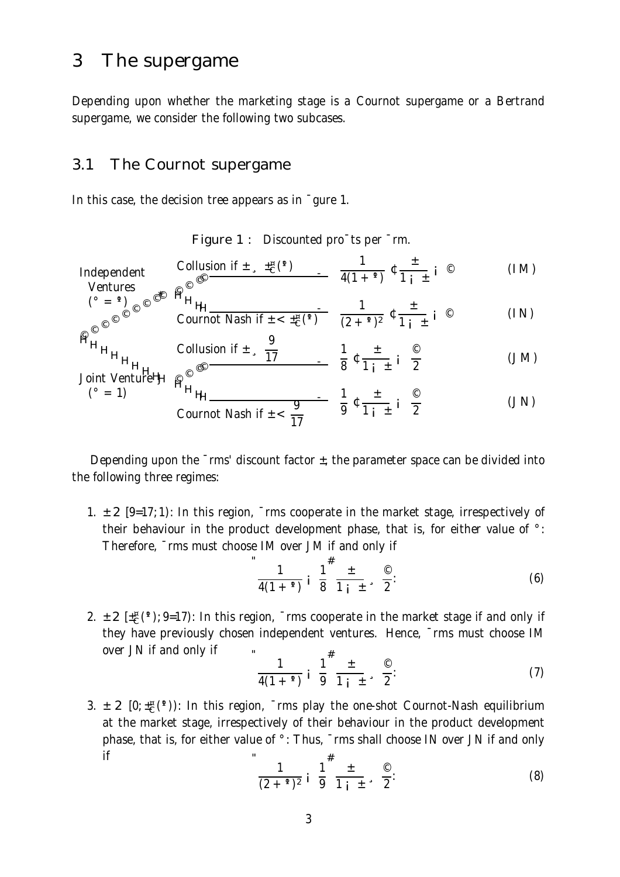## 3 The supergame

 $(° = 1)$ 

Depending upon whether the marketing stage is a Cournot supergame or a Bertrand supergame, we consider the following two subcases.

#### 3.1 The Cournot supergame

In this case, the decision tree appears as in ¯gure 1.

Figure 1 : Discounted pro¯ts per ¯rm.

Independent  
\n
$$
\begin{array}{ccc}\n\text{Undependent} & \text{Collision if } \pm \sqrt{\frac{1}{2} \cdot \left( \frac{1}{2} \right)} & \frac{1}{4(1+1)} \cdot \frac{1}{2} \cdot \frac{1}{1} \cdot \frac{1}{1} \\
\text{Ventures} & \text{or} & \text{if } \text{F} \text{ is } \text{if } \text{F} \text{ is } \text{if } \text{F} \text{ is } \text{if } \text{F} \text{ is } \text{if } \text{F} \text{ is } \text{if } \text{F} \text{ is } \text{if } \text{F} \text{ is } \text{if } \text{F} \text{ is } \text{if } \text{F} \text{ is } \text{if } \text{F} \text{ is } \text{if } \text{F} \text{ is } \text{if } \text{F} \text{ is } \text{if } \text{F} \text{ is } \text{if } \text{F} \text{ is } \text{if } \text{F} \text{ is } \text{if } \text{F} \text{ is } \text{if } \text{F} \text{ is } \text{if } \text{F} \text{ is } \text{if } \text{F} \text{ is } \text{if } \text{F} \text{ is } \text{if } \text{F} \text{ is } \text{if } \text{F} \text{ is } \text{if } \text{F} \text{ is } \text{if } \text{F} \text{ is } \text{if } \text{F} \text{ is } \text{if } \text{F} \text{ is } \text{if } \text{F} \text{ is } \text{if } \text{F} \text{ is } \text{if } \text{F} \text{ is } \text{if } \text{F} \text{ is } \text{if } \text{F} \text{ is } \text{if } \text{F} \text{ is } \text{if } \text{F} \text{ is } \text{if } \text{F} \text{ is } \text{if } \text{F} \text{ is } \text{if } \text{F} \text{ is } \text{if } \text{F} \text{ is } \text{if } \text{F} \text{ is } \text{if } \text{F} \text{ is } \text{if } \text{F} \text{ is } \text{if } \text{F} \text{ is } \text{if } \text{F} \text{ is } \text{if } \text{F} \text{ is }
$$

© © © ©© © © ©©\* (° = °¹) HHHH - Cournot Nash if ± < ± ¤ <sup>C</sup>(°¹) 1 (2 + °¹) 2 ¢ ± 1 ¡ ± ¡ © (IN) 9

HHHHHHH Joint VentureHHj © © ©© - Collusion if ± ¸ 17 1 8 ¢ ± 1 ¡ ± ¡ © 2 (JM)

$$
\frac{18}{10}
$$
   
 1<sub>1</sub> +  
 1<sub>2</sub> 1<sub>3</sub> =  $\frac{9}{17}$   $\frac{1}{9}$   $\frac{1}{1}$   $\frac{1}{1}$   $\frac{1}{2}$  (JN)

Depending upon the  $\overline{\ }$ rms' discount factor  $\pm$ , the parameter space can be divided into the following three regimes:

1.  $\pm$  2 [9=17; 1): In this region,  $\overline{\ }$ rms cooperate in the market stage, irrespectively of their behaviour in the product development phase, that is, for either value of °: Therefore, ¯rms must choose IM over JM if and only if

$$
\frac{1}{4(1+9)} i \frac{1}{8}^{\#} \frac{1}{1+i} \; . \; \frac{1}{2} \; . \tag{6}
$$

2.  $\pm$  2 [ $\pm \frac{\pi}{C}$ (°); 9=17): In this region,  $\bar{\ }$ rms cooperate in the market stage if and only if they have previously chosen independent ventures. Hence, ¯rms must choose IM over JN if and only if  $\cdots$  $\cdot$ 

$$
\frac{1}{4(1+9)} i \frac{1}{9}^{\frac{\pi}{2}} \frac{1}{1+i} \; , \; \frac{\circledcirc}{2} \; . \tag{7}
$$

3.  $\pm$  2 [0;  $\pm \infty$  (°)): In this region,  $\pm$  rms play the one-shot Cournot-Nash equilibrium at the market stage, irrespectively of their behaviour in the product development phase, that is, for either value of °: Thus, ¯rms shall choose IN over JN if and only if "

$$
\frac{1}{(2+{}^{9})^2} i \frac{1}{9}^{\#} \frac{\pm}{1} \frac{\infty}{1} \, . \tag{8}
$$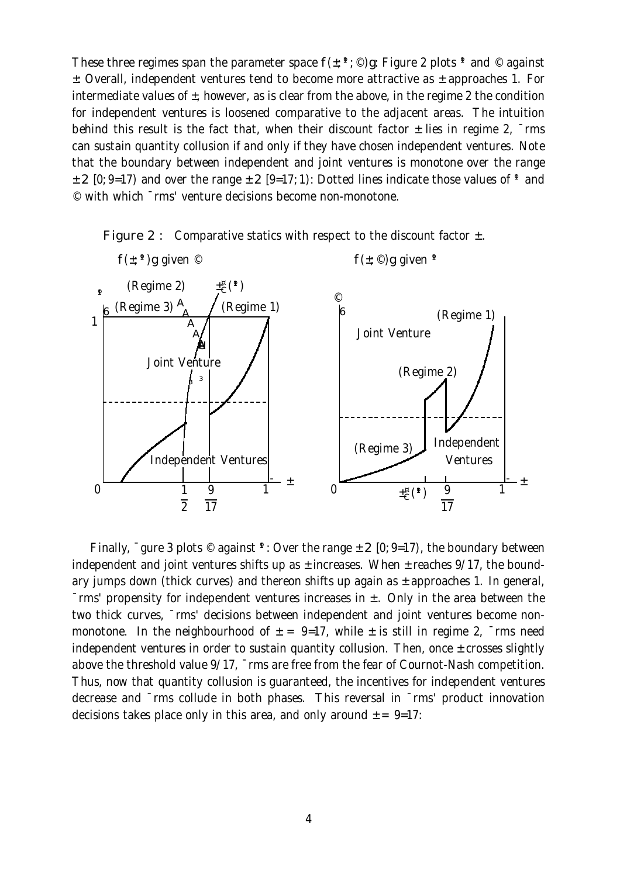These three regimes span the parameter space  $f(\pm; \theta, \mathcal{O})$ g: Figure 2 plots  $\theta$  and  $\mathcal O$  against ±: Overall, independent ventures tend to become more attractive as ± approaches 1. For intermediate values of  $\pm$ , however, as is clear from the above, in the regime 2 the condition for independent ventures is loosened comparative to the adjacent areas. The intuition behind this result is the fact that, when their discount factor  $\pm$  lies in regime 2,  $\overline{\ }$ rms can sustain quantity collusion if and only if they have chosen independent ventures. Note that the boundary between independent and joint ventures is monotone over the range  $\pm$  2 [0; 9=17) and over the range  $\pm$  2 [9=17; 1); Dotted lines indicate those values of <sup>9</sup> and © with which ¯rms' venture decisions become non-monotone.





Finally,  $\overline{\phantom{a}}$  gure 3 plots  $\degree$  against  $\overline{\phantom{a}}$ : Over the range  $\pm$  2 [0; 9=17), the boundary between independent and joint ventures shifts up as  $\pm$  increases. When  $\pm$  reaches 9/17, the boundary jumps down (thick curves) and thereon shifts up again as  $\pm$  approaches 1. In general,  $\overline{\ }$ rms' propensity for independent ventures increases in  $\pm$ . Only in the area between the two thick curves, ¯rms' decisions between independent and joint ventures become nonmonotone. In the neighbourhood of  $\pm$  = 9=17, while  $\pm$  is still in regime 2,  $\overline{\ }$ rms need independent ventures in order to sustain quantity collusion. Then, once ± crosses slightly above the threshold value 9/17, ¯rms are free from the fear of Cournot-Nash competition. Thus, now that quantity collusion is guaranteed, the incentives for independent ventures decrease and ¯rms collude in both phases. This reversal in ¯rms' product innovation decisions takes place only in this area, and only around  $\pm = 9$ =17: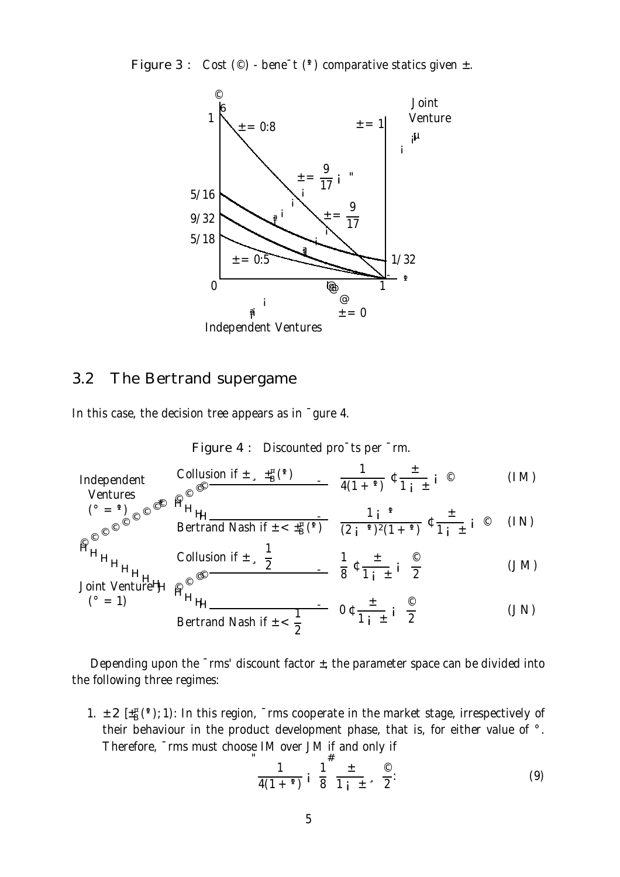Figure 3 : Cost  $(\circledcirc)$  - bene<sup>-</sup>t  $($ <sup>q</sup>) comparative statics given  $\pm$ .



#### 3.2 The Bertrand supergame

 $(° = 1)$ 

In this case, the decision tree appears as in ¯gure 4.

Figure 4 : Discounted pro¯ts per ¯rm.

Independent  
\n
$$
\begin{array}{ccc}\n\text{Collusion if } \pm \sqrt{\frac{1}{B}} \left( \sqrt[4]{\frac{1}{B}} \right) & \frac{1}{A(1+1)} \left( \frac{1}{B+1} \right) & \\
\text{Vertures} & \text{Q} & \\
\end{array}
$$
\n(IM)

$$
\int_{\left(\frac{a}{2}\right)^2}^{\left(\frac{a}{2}-\frac{a}{2}\right)}\cos\left(\frac{a}{2}\right) \frac{a}{\sqrt{2}} \sin\left(\frac{a}{2}\right)} \frac{1}{\sqrt{2}} \frac{1}{\sqrt{2}} \int_{1}^{\frac{a}{2}} \frac{1}{\sqrt{2}} \sin\left(\frac{a}{2}\right) \sin\left(\frac{a}{2}\right)} \frac{1}{\sqrt{2}} \int_{1}^{\frac{a}{2}} \frac{1}{\sqrt{2}} \sin\left(\frac{a}{2}\right) \sin\left(\frac{a}{2}\right) \sin\left(\frac{a}{2}\right) \sin\left(\frac{a}{2}\right)} \frac{1}{\sqrt{2}} \sin\left(\frac{a}{2}\right) \sin\left(\frac{a}{2}\right) \sin\left(\frac{a}{2}\right) \sin\left(\frac{a}{2}\right) \sin\left(\frac{a}{2}\right) \sin\left(\frac{a}{2}\right) \sin\left(\frac{a}{2}\right) \sin\left(\frac{a}{2}\right) \sin\left(\frac{a}{2}\right) \sin\left(\frac{a}{2}\right) \sin\left(\frac{a}{2}\right) \sin\left(\frac{a}{2}\right) \sin\left(\frac{a}{2}\right) \sin\left(\frac{a}{2}\right) \sin\left(\frac{a}{2}\right) \sin\left(\frac{a}{2}\right) \sin\left(\frac{a}{2}\right) \sin\left(\frac{a}{2}\right) \sin\left(\frac{a}{2}\right) \sin\left(\frac{a}{2}\right) \sin\left(\frac{a}{2}\right) \sin\left(\frac{a}{2}\right) \sin\left(\frac{a}{2}\right) \sin\left(\frac{a}{2}\right) \sin\left(\frac{a}{2}\right) \sin\left(\frac{a}{2}\right) \sin\left(\frac{a}{2}\right) \sin\left(\frac{a}{2}\right) \sin\left(\frac{a}{2}\right) \sin\left(\frac{a}{2}\right) \sin\left(\frac{a}{2}\right) \sin\left(\frac{a}{2}\right) \sin\left(\frac{a}{2}\right) \sin\left(\frac{a}{2}\right) \sin\left(\frac{a}{2}\right) \sin\left(\frac{a}{2}\right) \sin\left(\frac{a}{2}\right) \sin\left(\frac{a}{2}\right) \sin\left(\frac{a}{2}\right) \sin\left(\frac{a}{2}\right) \sin\left(\
$$

$$
H_{H_{H_{H_{H_{H_{H_{0}}}}}}}
$$
Collision if  $\pm \frac{1}{2}$   $\frac{1}{8}$   $\pm \frac{1}{1}$   $\pm \frac{1}{2}$  (JM)  
Joint VentureH  $\text{g}$ 

$$
{}^{\cancel{H}}H_{\cancel{H}}\n\qquad \qquad \overline{1} \qquad 0 \t \frac{1}{1 \t i} \t i \frac{1}{2} \qquad \qquad (JN)
$$
\n
$$
\text{Bertrand Nash if } \pm \frac{1}{2}
$$

Depending upon the  $\overline{\ }$ rms' discount factor  $\pm$ , the parameter space can be divided into the following three regimes:

1.  $\pm$  2 [ $\pm$ <sup> $\alpha$ </sup> $($ °); 1): In this region,  $\bar{ }$  rms cooperate in the market stage, irrespectively of their behaviour in the product development phase, that is, for either value of °. Therefore, ¯rms must choose IM over JM if and only if

$$
\frac{1}{4(1+°)} i \frac{1}{8}^{\#} \frac{\pm}{1+i \pm} , \frac{\circ}{2}.
$$
 (9)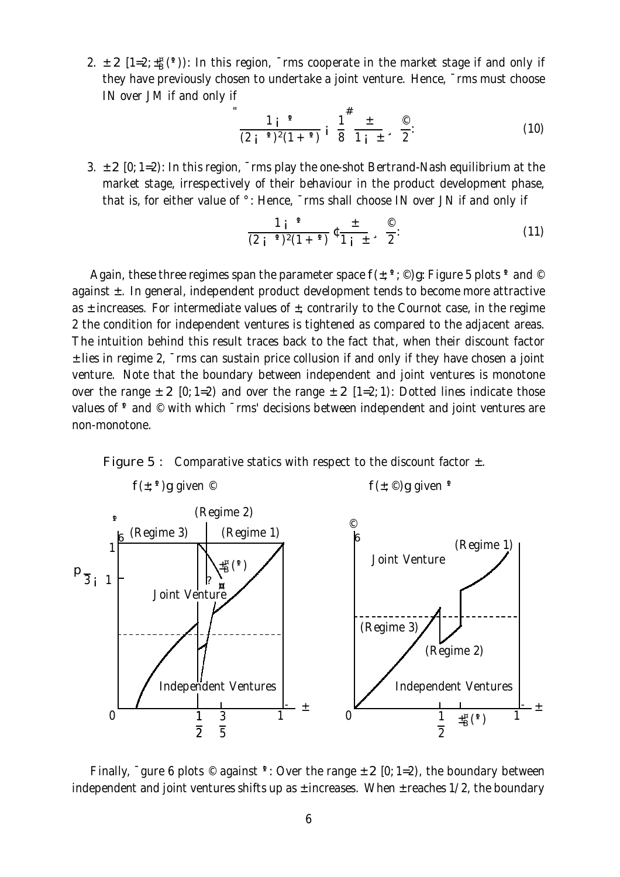2.  $\pm$  2 [1=2; $\pm$ <sup>¤</sup>B(<sup>4</sup>)): In this region, Trms cooperate in the market stage if and only if they have previously chosen to undertake a joint venture. Hence, ¯rms must choose IN over JM if and only if

$$
\frac{1}{(2 \text{ i } ^{9})^2 (1 + ^{9})} \text{ i } \frac{1}{8}^{\#} \frac{\pm}{1 \text{ i } \pm} \text{ s } \frac{\text{ } ^{\circ} \text{ } ^{\circ} \text{ } ^{\circ}}{2} \text{ : } \tag{10}
$$

3.  $\pm$  2 [0; 1=2): In this region,  $\overline{\ }$ rms play the one-shot Bertrand-Nash equilibrium at the market stage, irrespectively of their behaviour in the product development phase, that is, for either value of °: Hence, ¯rms shall choose IN over JN if and only if

$$
\frac{1 i^{-q}}{(2 i^{-q})^2 (1 + q)} \mathfrak{c} \frac{1}{1 i^{-1}} \cdot \frac{1}{2}.
$$
 (11)

Again, these three regimes span the parameter space  $f(\pm; \theta)$   $\infty$  Figure 5 plots  $\theta$  and  $\circledcirc$ against  $\pm$ . In general, independent product development tends to become more attractive as  $\pm$  increases. For intermediate values of  $\pm$ , contrarily to the Cournot case, in the regime 2 the condition for independent ventures is tightened as compared to the adjacent areas. The intuition behind this result traces back to the fact that, when their discount factor ± lies in regime 2, ¯rms can sustain price collusion if and only if they have chosen a joint venture. Note that the boundary between independent and joint ventures is monotone over the range  $\pm$  2 [0; 1=2) and over the range  $\pm$  2 [1=2; 1): Dotted lines indicate those values of  $\gamma$  and  $\degree$  with which  $\gamma$ rms' decisions between independent and joint ventures are non-monotone.





Finally,  $\overline{\phantom{a}}$  gure 6 plots  $\degree$  against  $\overline{\phantom{a}}$ : Over the range  $\pm$  2 [0; 1=2), the boundary between independent and joint ventures shifts up as  $\pm$  increases. When  $\pm$  reaches 1/2, the boundary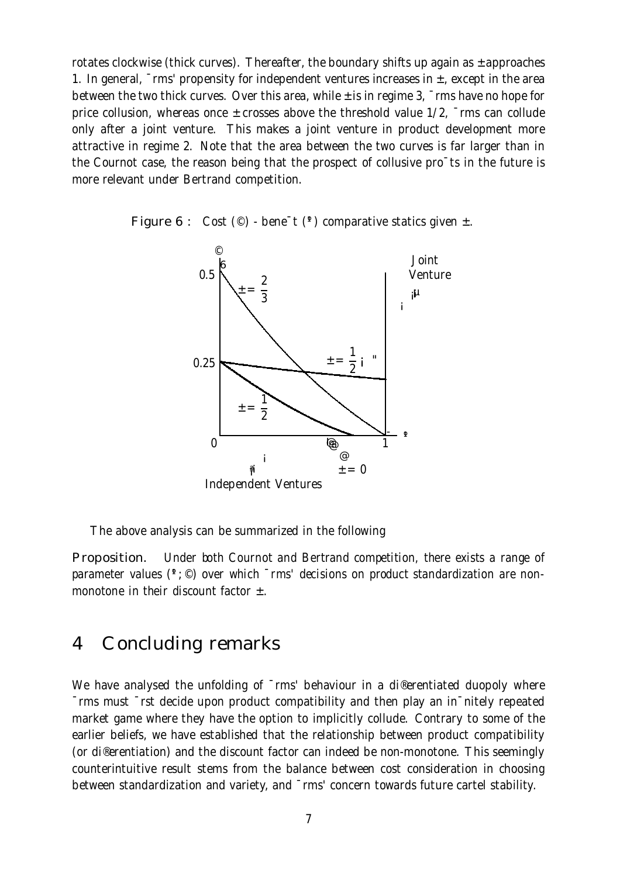rotates clockwise (thick curves). Thereafter, the boundary shifts up again as  $\pm$  approaches 1. In general,  $\overline{\ }$ rms' propensity for independent ventures increases in  $\pm$ , except in the area between the two thick curves. Over this area, while  $\pm$  is in regime 3,  $\bar{\ }$ rms have no hope for price collusion, whereas once ± crosses above the threshold value 1/2, ¯rms can collude only after a joint venture. This makes a joint venture in product development more attractive in regime 2. Note that the area between the two curves is far larger than in the Cournot case, the reason being that the prospect of collusive pro¯ts in the future is more relevant under Bertrand competition.





The above analysis can be summarized in the following

Proposition. Under both Cournot and Bertrand competition, there exists a range of parameter values ( $\degree$ ;  $\degree$ ) over which  $\degree$ rms' decisions on product standardization are nonmonotone in their discount factor  $\pm$ .

## 4 Concluding remarks

We have analysed the unfolding of  $\overline{\ }$ rms' behaviour in a di®erentiated duopoly where ¯rms must ¯rst decide upon product compatibility and then play an in¯nitely repeated market game where they have the option to implicitly collude. Contrary to some of the earlier beliefs, we have established that the relationship between product compatibility (or di®erentiation) and the discount factor can indeed be non-monotone. This seemingly counterintuitive result stems from the balance between cost consideration in choosing between standardization and variety, and  $\bar{m}$  concern towards future cartel stability.